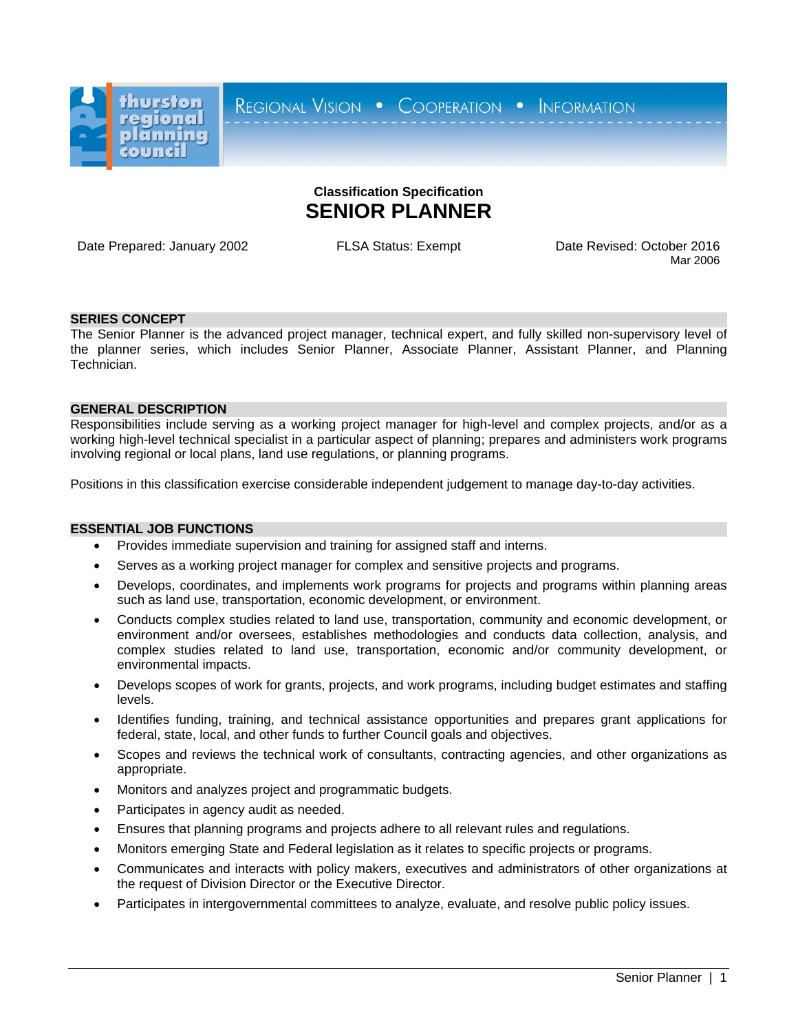

REGIONAL VISION . COOPERATION . INFORMATION

# **Classification Specification SENIOR PLANNER**

Date Prepared: January 2002 FLSA Status: Exempt Date Revised: October 2016

Mar 2006

## **SERIES CONCEPT**

The Senior Planner is the advanced project manager, technical expert, and fully skilled non-supervisory level of the planner series, which includes Senior Planner, Associate Planner, Assistant Planner, and Planning Technician.

## **GENERAL DESCRIPTION**

Responsibilities include serving as a working project manager for high-level and complex projects, and/or as a working high-level technical specialist in a particular aspect of planning; prepares and administers work programs involving regional or local plans, land use regulations, or planning programs.

Positions in this classification exercise considerable independent judgement to manage day-to-day activities.

#### **ESSENTIAL JOB FUNCTIONS**

- Provides immediate supervision and training for assigned staff and interns.
- Serves as a working project manager for complex and sensitive projects and programs.
- Develops, coordinates, and implements work programs for projects and programs within planning areas such as land use, transportation, economic development, or environment.
- Conducts complex studies related to land use, transportation, community and economic development, or environment and/or oversees, establishes methodologies and conducts data collection, analysis, and complex studies related to land use, transportation, economic and/or community development, or environmental impacts.
- Develops scopes of work for grants, projects, and work programs, including budget estimates and staffing levels.
- Identifies funding, training, and technical assistance opportunities and prepares grant applications for federal, state, local, and other funds to further Council goals and objectives.
- Scopes and reviews the technical work of consultants, contracting agencies, and other organizations as appropriate.
- Monitors and analyzes project and programmatic budgets.
- Participates in agency audit as needed.
- Ensures that planning programs and projects adhere to all relevant rules and regulations.
- Monitors emerging State and Federal legislation as it relates to specific projects or programs.
- Communicates and interacts with policy makers, executives and administrators of other organizations at the request of Division Director or the Executive Director.
- Participates in intergovernmental committees to analyze, evaluate, and resolve public policy issues.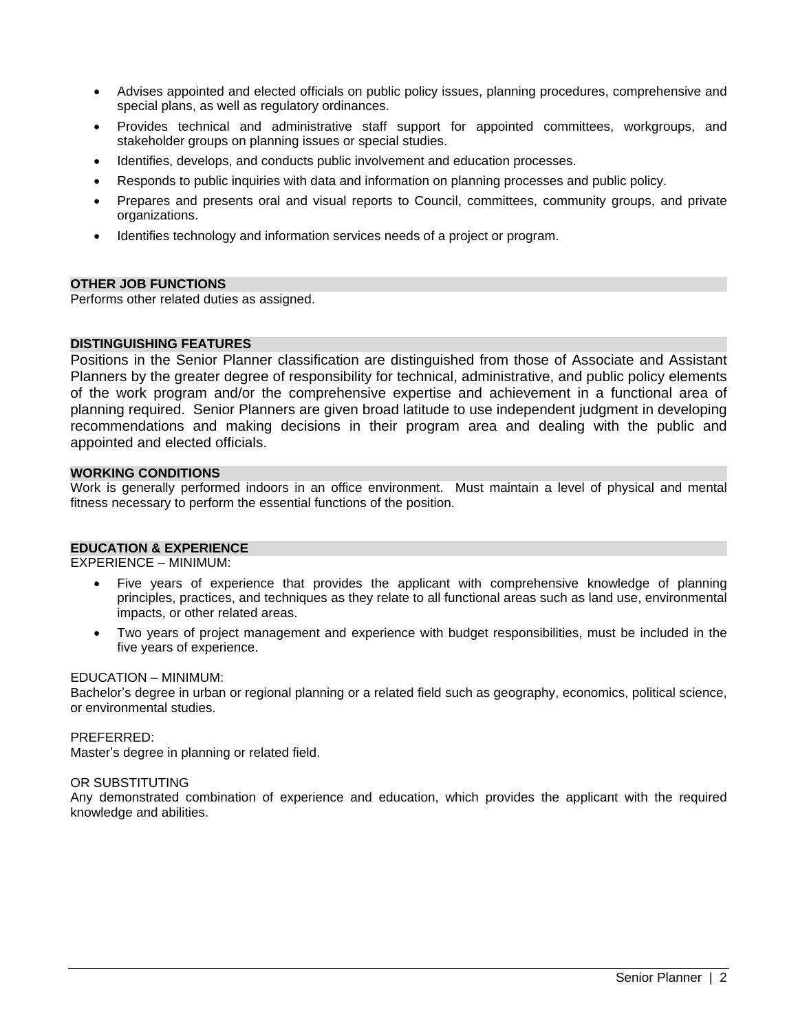- Advises appointed and elected officials on public policy issues, planning procedures, comprehensive and special plans, as well as regulatory ordinances.
- Provides technical and administrative staff support for appointed committees, workgroups, and stakeholder groups on planning issues or special studies.
- Identifies, develops, and conducts public involvement and education processes.
- Responds to public inquiries with data and information on planning processes and public policy.
- Prepares and presents oral and visual reports to Council, committees, community groups, and private organizations.
- Identifies technology and information services needs of a project or program.

#### **OTHER JOB FUNCTIONS**

Performs other related duties as assigned.

## **DISTINGUISHING FEATURES**

Positions in the Senior Planner classification are distinguished from those of Associate and Assistant Planners by the greater degree of responsibility for technical, administrative, and public policy elements of the work program and/or the comprehensive expertise and achievement in a functional area of planning required. Senior Planners are given broad latitude to use independent judgment in developing recommendations and making decisions in their program area and dealing with the public and appointed and elected officials.

### **WORKING CONDITIONS**

Work is generally performed indoors in an office environment. Must maintain a level of physical and mental fitness necessary to perform the essential functions of the position.

#### **EDUCATION & EXPERIENCE**

EXPERIENCE – MINIMUM:

- Five years of experience that provides the applicant with comprehensive knowledge of planning principles, practices, and techniques as they relate to all functional areas such as land use, environmental impacts, or other related areas.
- Two years of project management and experience with budget responsibilities, must be included in the five years of experience.

#### EDUCATION – MINIMUM:

Bachelor's degree in urban or regional planning or a related field such as geography, economics, political science, or environmental studies.

#### PREFERRED:

Master's degree in planning or related field.

#### OR SUBSTITUTING

Any demonstrated combination of experience and education, which provides the applicant with the required knowledge and abilities.